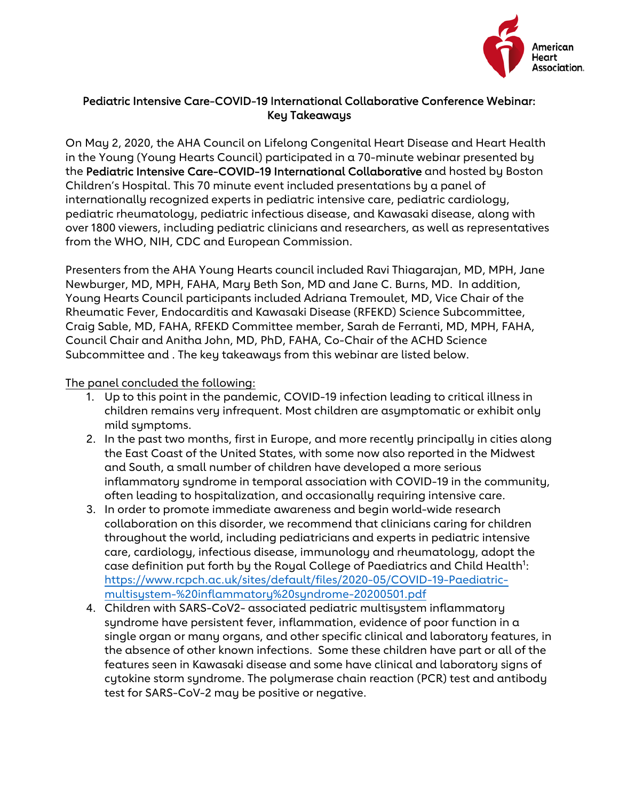

## Pediatric Intensive Care-COVID-19 International Collaborative Conference Webinar: Key Takeaways

On May 2, 2020, the AHA Council on Lifelong Congenital Heart Disease and Heart Health in the Young (Young Hearts Council) participated in a 70-minute webinar presented by the Pediatric Intensive Care-COVID-19 International Collaborative and hosted by Boston Children's Hospital. This 70 minute event included presentations by a panel of internationally recognized experts in pediatric intensive care, pediatric cardiology, pediatric rheumatology, pediatric infectious disease, and Kawasaki disease, along with over 1800 viewers, including pediatric clinicians and researchers, as well as representatives from the WHO, NIH, CDC and European Commission.

Presenters from the AHA Young Hearts council included Ravi Thiagarajan, MD, MPH, Jane Newburger, MD, MPH, FAHA, Mary Beth Son, MD and Jane C. Burns, MD. In addition, Young Hearts Council participants included Adriana Tremoulet, MD, Vice Chair of the Rheumatic Fever, Endocarditis and Kawasaki Disease (RFEKD) Science Subcommittee, Craig Sable, MD, FAHA, RFEKD Committee member, Sarah de Ferranti, MD, MPH, FAHA, Council Chair and Anitha John, MD, PhD, FAHA, Co-Chair of the ACHD Science Subcommittee and . The key takeaways from this webinar are listed below.

## The panel concluded the following:

- 1. Up to this point in the pandemic, COVID-19 infection leading to critical illness in children remains very infrequent. Most children are asymptomatic or exhibit only mild symptoms.
- 2. In the past two months, first in Europe, and more recently principally in cities along the East Coast of the United States, with some now also reported in the Midwest and South, a small number of children have developed a more serious inflammatory syndrome in temporal association with COVID-19 in the community, often leading to hospitalization, and occasionally requiring intensive care.
- 3. In order to promote immediate awareness and begin world-wide research collaboration on this disorder, we recommend that clinicians caring for children throughout the world, including pediatricians and experts in pediatric intensive care, cardiology, infectious disease, immunology and rheumatology, adopt the case definition put forth by the Royal College of Paediatrics and Child Health<sup>1</sup>: [https://www.rcpch.ac.uk/sites/default/files/2020-05/COVID-19-Paediatric](https://www.rcpch.ac.uk/sites/default/files/2020-05/COVID-19-Paediatric-multisystem-%20inflammatory%20syndrome-20200501.pdf)multisystem-%20inflammatory%20syndrome-20200501.pdf
- 4. Children with SARS-CoV2- associated pediatric multisystem inflammatory syndrome have persistent fever, inflammation, evidence of poor function in a single organ or many organs, and other specific clinical and laboratory features, in the absence of other known infections. Some these children have part or all of the features seen in Kawasaki disease and some have clinical and laboratory signs of cytokine storm syndrome. The polymerase chain reaction (PCR) test and antibody test for SARS-CoV-2 may be positive or negative.